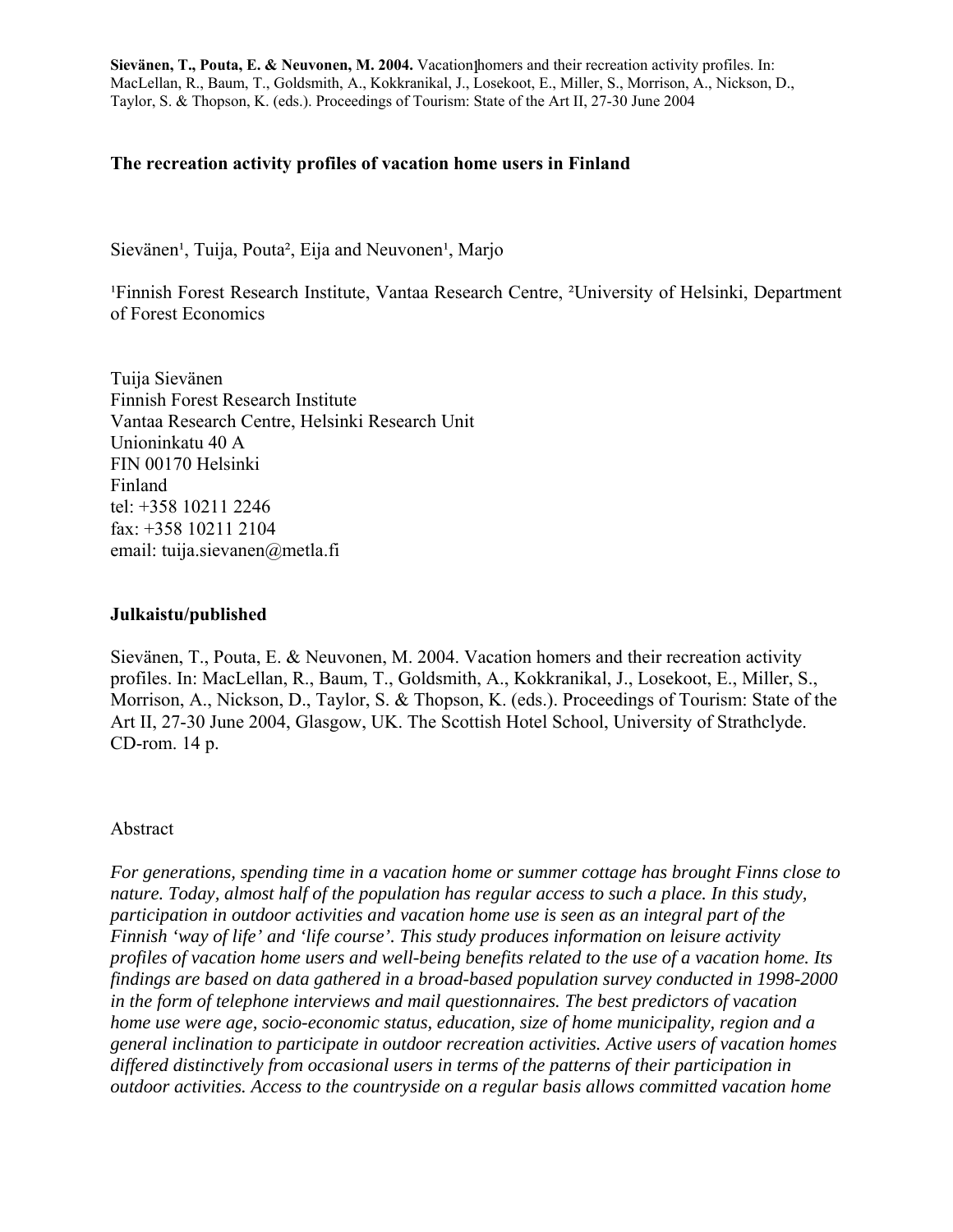#### **The recreation activity profiles of vacation home users in Finland**

Sievänen<sup>1</sup>, Tuija, Pouta<sup>2</sup>, Eija and Neuvonen<sup>1</sup>, Marjo

<sup>1</sup>Finnish Forest Research Institute, Vantaa Research Centre, <sup>2</sup>University of Helsinki, Department of Forest Economics

Tuija Sievänen Finnish Forest Research Institute Vantaa Research Centre, Helsinki Research Unit Unioninkatu 40 A FIN 00170 Helsinki Finland tel: +358 10211 2246 fax: +358 10211 2104 email: tuija.sievanen@metla.fi

#### **Julkaistu/published**

Sievänen, T., Pouta, E. & Neuvonen, M. 2004. Vacation homers and their recreation activity profiles. In: MacLellan, R., Baum, T., Goldsmith, A., Kokkranikal, J., Losekoot, E., Miller, S., Morrison, A., Nickson, D., Taylor, S. & Thopson, K. (eds.). Proceedings of Tourism: State of the Art II, 27-30 June 2004, Glasgow, UK. The Scottish Hotel School, University of Strathclyde. CD-rom. 14 p.

#### Abstract

*For generations, spending time in a vacation home or summer cottage has brought Finns close to nature. Today, almost half of the population has regular access to such a place. In this study, participation in outdoor activities and vacation home use is seen as an integral part of the Finnish 'way of life' and 'life course'. This study produces information on leisure activity profiles of vacation home users and well-being benefits related to the use of a vacation home. Its findings are based on data gathered in a broad-based population survey conducted in 1998-2000 in the form of telephone interviews and mail questionnaires. The best predictors of vacation home use were age, socio-economic status, education, size of home municipality, region and a general inclination to participate in outdoor recreation activities. Active users of vacation homes differed distinctively from occasional users in terms of the patterns of their participation in outdoor activities. Access to the countryside on a regular basis allows committed vacation home*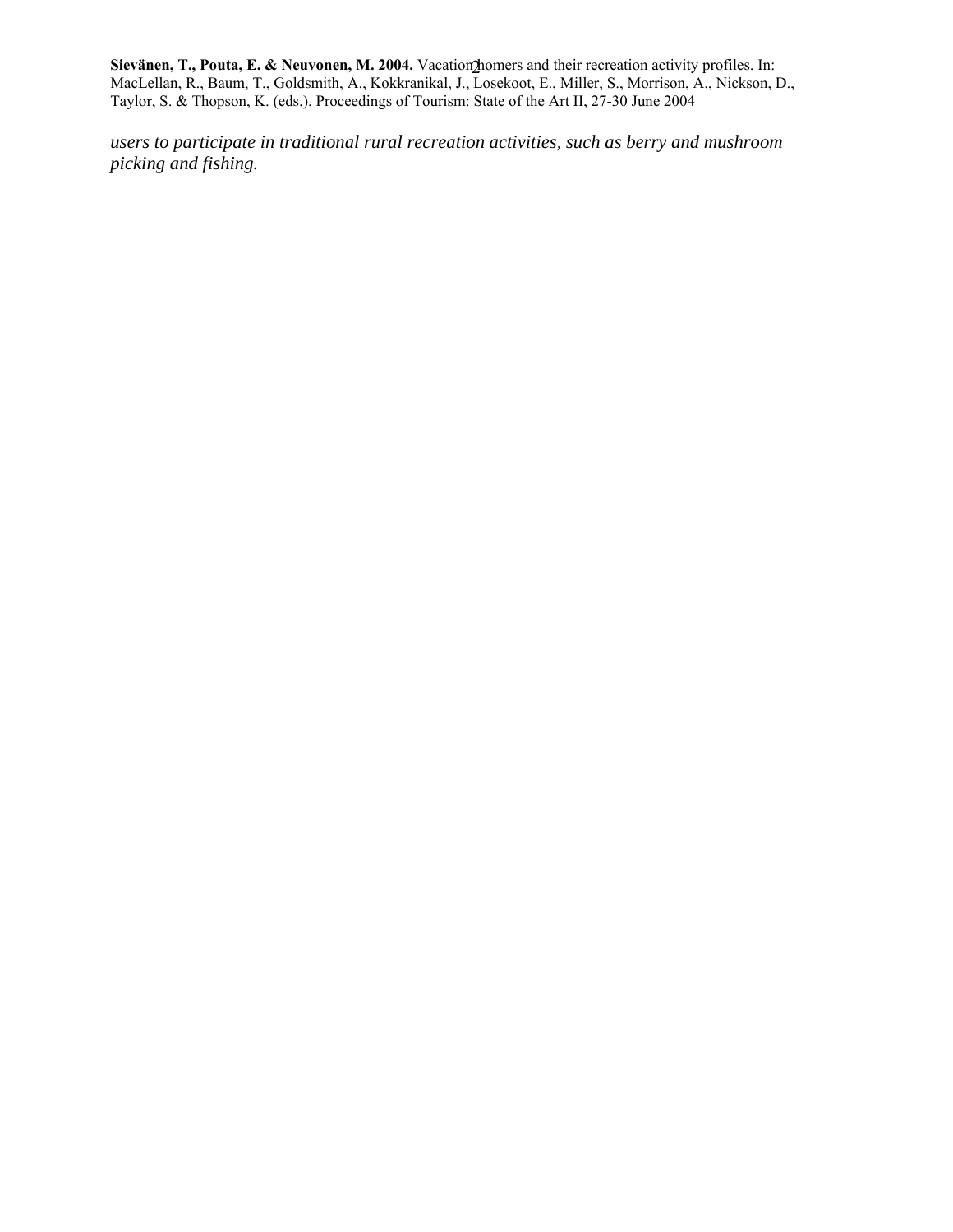*users to participate in traditional rural recreation activities, such as berry and mushroom picking and fishing.*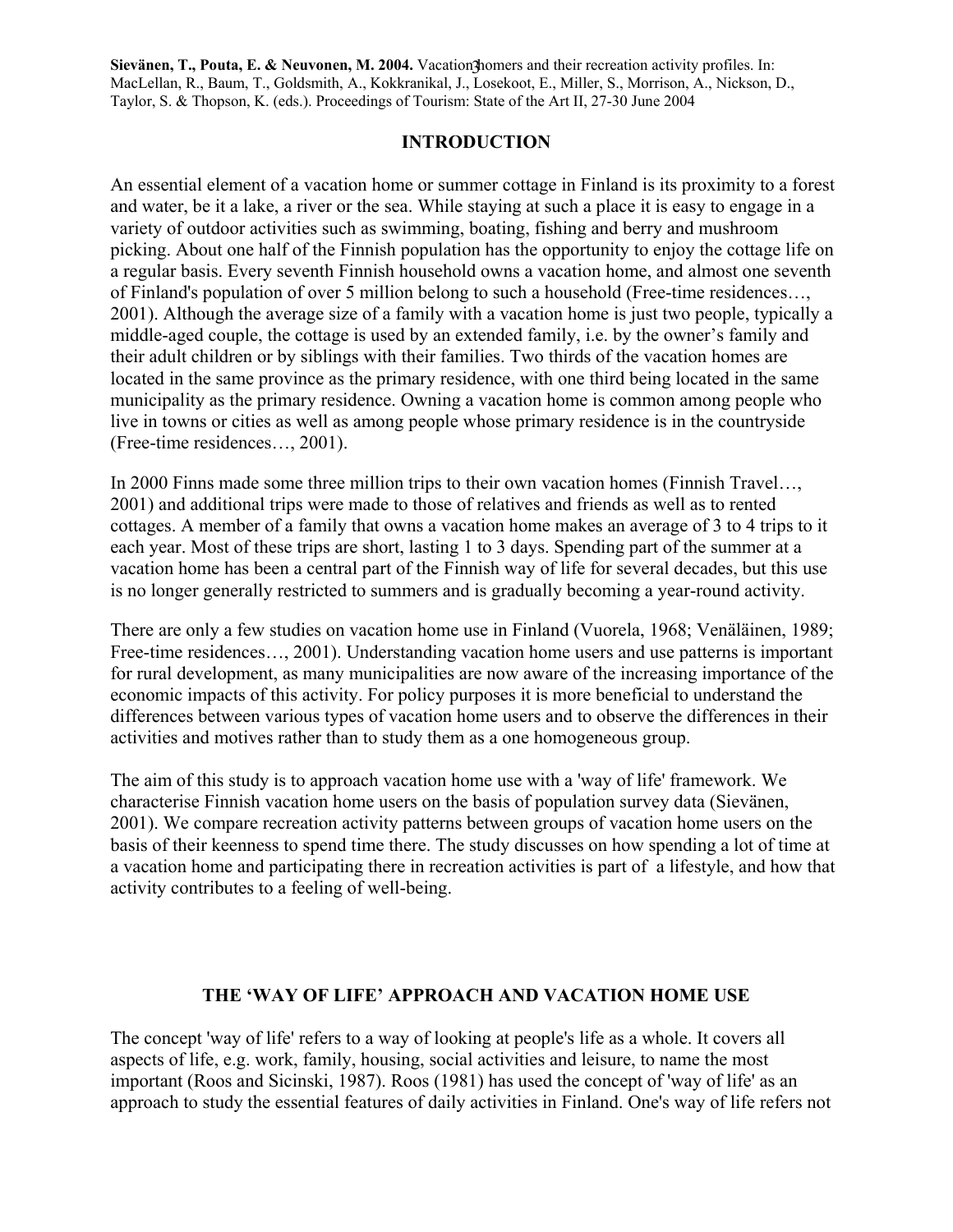### **INTRODUCTION**

An essential element of a vacation home or summer cottage in Finland is its proximity to a forest and water, be it a lake, a river or the sea. While staying at such a place it is easy to engage in a variety of outdoor activities such as swimming, boating, fishing and berry and mushroom picking. About one half of the Finnish population has the opportunity to enjoy the cottage life on a regular basis. Every seventh Finnish household owns a vacation home, and almost one seventh of Finland's population of over 5 million belong to such a household (Free-time residences…, 2001). Although the average size of a family with a vacation home is just two people, typically a middle-aged couple, the cottage is used by an extended family, i.e. by the owner's family and their adult children or by siblings with their families. Two thirds of the vacation homes are located in the same province as the primary residence, with one third being located in the same municipality as the primary residence. Owning a vacation home is common among people who live in towns or cities as well as among people whose primary residence is in the countryside (Free-time residences…, 2001).

In 2000 Finns made some three million trips to their own vacation homes (Finnish Travel…, 2001) and additional trips were made to those of relatives and friends as well as to rented cottages. A member of a family that owns a vacation home makes an average of 3 to 4 trips to it each year. Most of these trips are short, lasting 1 to 3 days. Spending part of the summer at a vacation home has been a central part of the Finnish way of life for several decades, but this use is no longer generally restricted to summers and is gradually becoming a year-round activity.

There are only a few studies on vacation home use in Finland (Vuorela, 1968; Venäläinen, 1989; Free-time residences…, 2001). Understanding vacation home users and use patterns is important for rural development, as many municipalities are now aware of the increasing importance of the economic impacts of this activity. For policy purposes it is more beneficial to understand the differences between various types of vacation home users and to observe the differences in their activities and motives rather than to study them as a one homogeneous group.

The aim of this study is to approach vacation home use with a 'way of life' framework. We characterise Finnish vacation home users on the basis of population survey data (Sievänen, 2001). We compare recreation activity patterns between groups of vacation home users on the basis of their keenness to spend time there. The study discusses on how spending a lot of time at a vacation home and participating there in recreation activities is part of a lifestyle, and how that activity contributes to a feeling of well-being.

### **THE 'WAY OF LIFE' APPROACH AND VACATION HOME USE**

The concept 'way of life' refers to a way of looking at people's life as a whole. It covers all aspects of life, e.g. work, family, housing, social activities and leisure, to name the most important (Roos and Sicinski, 1987). Roos (1981) has used the concept of 'way of life' as an approach to study the essential features of daily activities in Finland. One's way of life refers not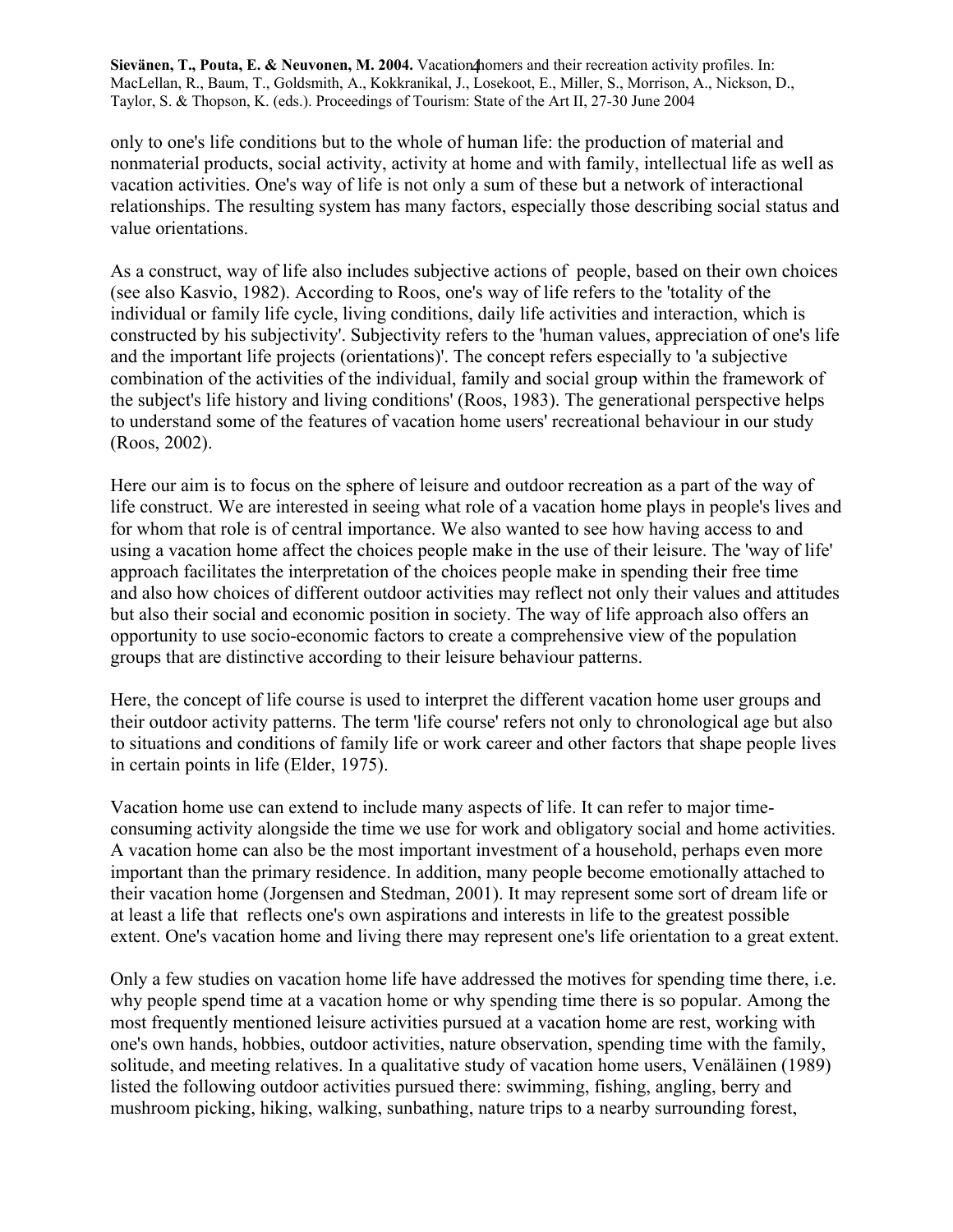only to one's life conditions but to the whole of human life: the production of material and nonmaterial products, social activity, activity at home and with family, intellectual life as well as vacation activities. One's way of life is not only a sum of these but a network of interactional relationships. The resulting system has many factors, especially those describing social status and value orientations.

As a construct, way of life also includes subjective actions of people, based on their own choices (see also Kasvio, 1982). According to Roos, one's way of life refers to the 'totality of the individual or family life cycle, living conditions, daily life activities and interaction, which is constructed by his subjectivity'. Subjectivity refers to the 'human values, appreciation of one's life and the important life projects (orientations)'. The concept refers especially to 'a subjective combination of the activities of the individual, family and social group within the framework of the subject's life history and living conditions' (Roos, 1983). The generational perspective helps to understand some of the features of vacation home users' recreational behaviour in our study (Roos, 2002).

Here our aim is to focus on the sphere of leisure and outdoor recreation as a part of the way of life construct. We are interested in seeing what role of a vacation home plays in people's lives and for whom that role is of central importance. We also wanted to see how having access to and using a vacation home affect the choices people make in the use of their leisure. The 'way of life' approach facilitates the interpretation of the choices people make in spending their free time and also how choices of different outdoor activities may reflect not only their values and attitudes but also their social and economic position in society. The way of life approach also offers an opportunity to use socio-economic factors to create a comprehensive view of the population groups that are distinctive according to their leisure behaviour patterns.

Here, the concept of life course is used to interpret the different vacation home user groups and their outdoor activity patterns. The term 'life course' refers not only to chronological age but also to situations and conditions of family life or work career and other factors that shape people lives in certain points in life (Elder, 1975).

Vacation home use can extend to include many aspects of life. It can refer to major timeconsuming activity alongside the time we use for work and obligatory social and home activities. A vacation home can also be the most important investment of a household, perhaps even more important than the primary residence. In addition, many people become emotionally attached to their vacation home (Jorgensen and Stedman, 2001). It may represent some sort of dream life or at least a life that reflects one's own aspirations and interests in life to the greatest possible extent. One's vacation home and living there may represent one's life orientation to a great extent.

Only a few studies on vacation home life have addressed the motives for spending time there, i.e. why people spend time at a vacation home or why spending time there is so popular. Among the most frequently mentioned leisure activities pursued at a vacation home are rest, working with one's own hands, hobbies, outdoor activities, nature observation, spending time with the family, solitude, and meeting relatives. In a qualitative study of vacation home users, Venäläinen (1989) listed the following outdoor activities pursued there: swimming, fishing, angling, berry and mushroom picking, hiking, walking, sunbathing, nature trips to a nearby surrounding forest,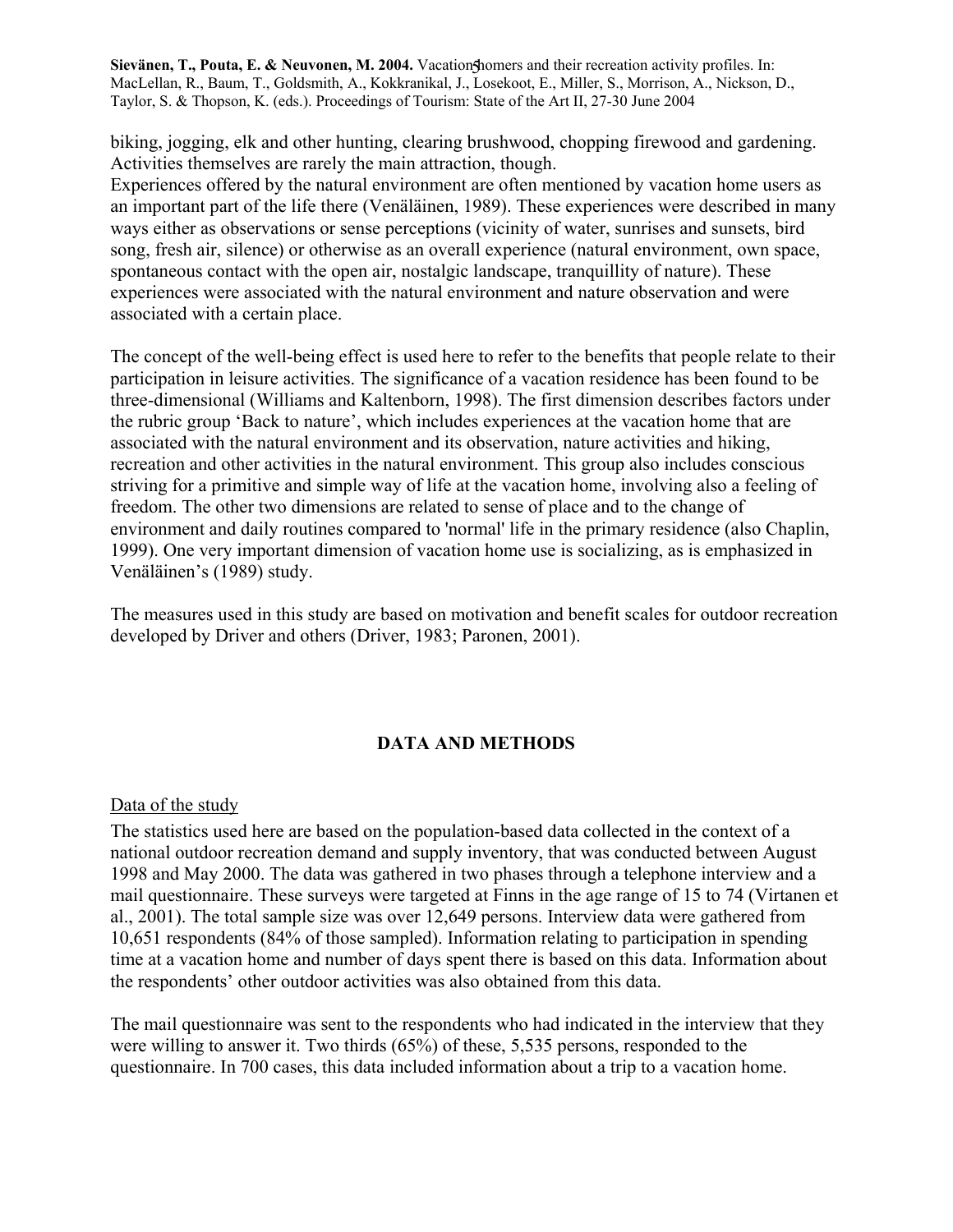biking, jogging, elk and other hunting, clearing brushwood, chopping firewood and gardening. Activities themselves are rarely the main attraction, though.

Experiences offered by the natural environment are often mentioned by vacation home users as an important part of the life there (Venäläinen, 1989). These experiences were described in many ways either as observations or sense perceptions (vicinity of water, sunrises and sunsets, bird song, fresh air, silence) or otherwise as an overall experience (natural environment, own space, spontaneous contact with the open air, nostalgic landscape, tranquillity of nature). These experiences were associated with the natural environment and nature observation and were associated with a certain place.

The concept of the well-being effect is used here to refer to the benefits that people relate to their participation in leisure activities. The significance of a vacation residence has been found to be three-dimensional (Williams and Kaltenborn, 1998). The first dimension describes factors under the rubric group 'Back to nature', which includes experiences at the vacation home that are associated with the natural environment and its observation, nature activities and hiking, recreation and other activities in the natural environment. This group also includes conscious striving for a primitive and simple way of life at the vacation home, involving also a feeling of freedom. The other two dimensions are related to sense of place and to the change of environment and daily routines compared to 'normal' life in the primary residence (also Chaplin, 1999). One very important dimension of vacation home use is socializing, as is emphasized in Venäläinen's (1989) study.

The measures used in this study are based on motivation and benefit scales for outdoor recreation developed by Driver and others (Driver, 1983; Paronen, 2001).

### **DATA AND METHODS**

### Data of the study

The statistics used here are based on the population-based data collected in the context of a national outdoor recreation demand and supply inventory, that was conducted between August 1998 and May 2000. The data was gathered in two phases through a telephone interview and a mail questionnaire. These surveys were targeted at Finns in the age range of 15 to 74 (Virtanen et al., 2001). The total sample size was over 12,649 persons. Interview data were gathered from 10,651 respondents (84% of those sampled). Information relating to participation in spending time at a vacation home and number of days spent there is based on this data. Information about the respondents' other outdoor activities was also obtained from this data.

The mail questionnaire was sent to the respondents who had indicated in the interview that they were willing to answer it. Two thirds (65%) of these, 5,535 persons, responded to the questionnaire. In 700 cases, this data included information about a trip to a vacation home.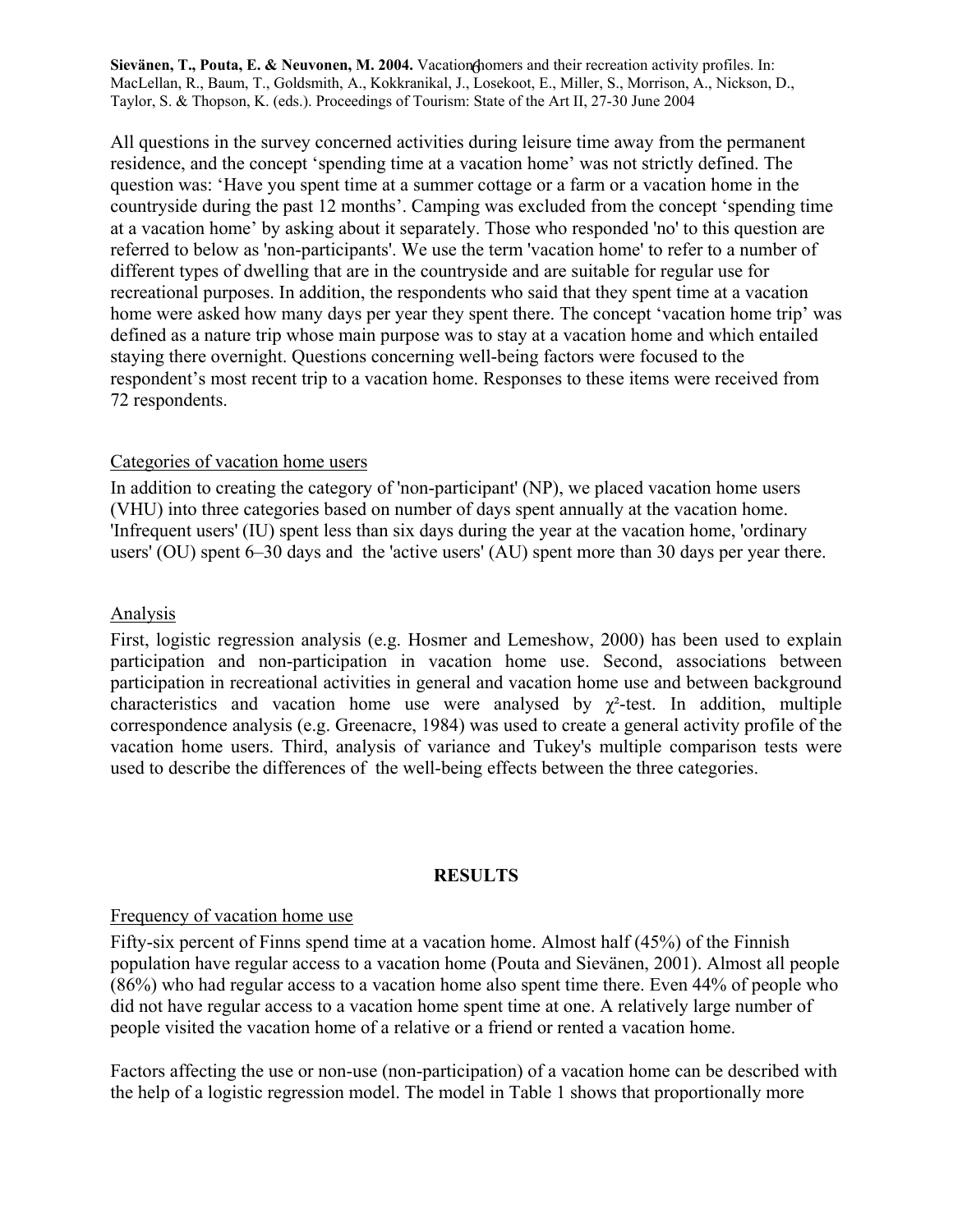All questions in the survey concerned activities during leisure time away from the permanent residence, and the concept 'spending time at a vacation home' was not strictly defined. The question was: 'Have you spent time at a summer cottage or a farm or a vacation home in the countryside during the past 12 months'. Camping was excluded from the concept 'spending time at a vacation home' by asking about it separately. Those who responded 'no' to this question are referred to below as 'non-participants'. We use the term 'vacation home' to refer to a number of different types of dwelling that are in the countryside and are suitable for regular use for recreational purposes. In addition, the respondents who said that they spent time at a vacation home were asked how many days per year they spent there. The concept 'vacation home trip' was defined as a nature trip whose main purpose was to stay at a vacation home and which entailed staying there overnight. Questions concerning well-being factors were focused to the respondent's most recent trip to a vacation home. Responses to these items were received from 72 respondents.

# Categories of vacation home users

In addition to creating the category of 'non-participant' (NP), we placed vacation home users (VHU) into three categories based on number of days spent annually at the vacation home. 'Infrequent users' (IU) spent less than six days during the year at the vacation home, 'ordinary users' (OU) spent 6–30 days and the 'active users' (AU) spent more than 30 days per year there.

### Analysis

First, logistic regression analysis (e.g. Hosmer and Lemeshow, 2000) has been used to explain participation and non-participation in vacation home use. Second, associations between participation in recreational activities in general and vacation home use and between background characteristics and vacation home use were analysed by  $\chi^2$ -test. In addition, multiple correspondence analysis (e.g. Greenacre, 1984) was used to create a general activity profile of the vacation home users. Third, analysis of variance and Tukey's multiple comparison tests were used to describe the differences of the well-being effects between the three categories.

### **RESULTS**

### Frequency of vacation home use

Fifty-six percent of Finns spend time at a vacation home. Almost half (45%) of the Finnish population have regular access to a vacation home (Pouta and Sievänen, 2001). Almost all people (86%) who had regular access to a vacation home also spent time there. Even 44% of people who did not have regular access to a vacation home spent time at one. A relatively large number of people visited the vacation home of a relative or a friend or rented a vacation home.

Factors affecting the use or non-use (non-participation) of a vacation home can be described with the help of a logistic regression model. The model in Table 1 shows that proportionally more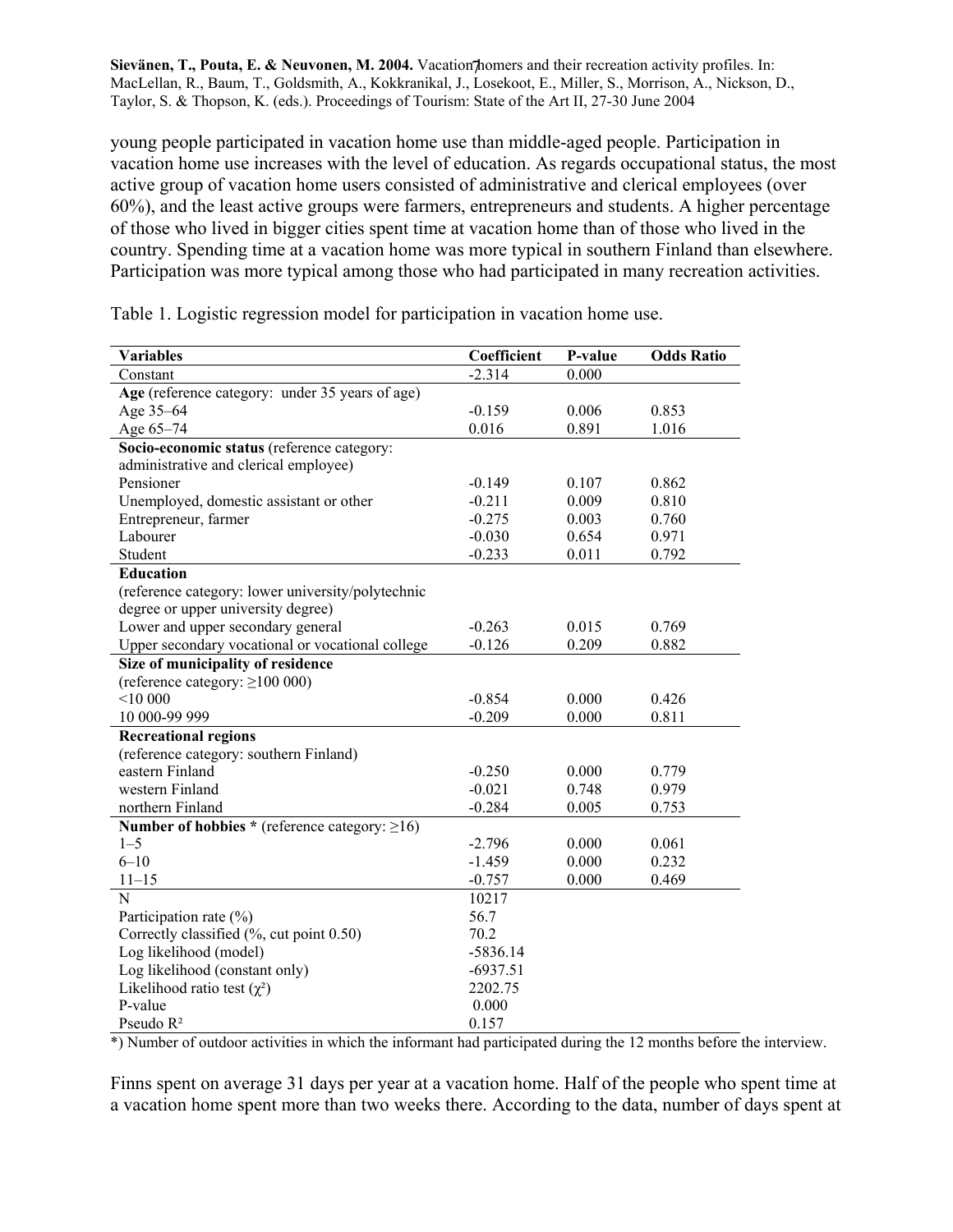young people participated in vacation home use than middle-aged people. Participation in vacation home use increases with the level of education. As regards occupational status, the most active group of vacation home users consisted of administrative and clerical employees (over 60%), and the least active groups were farmers, entrepreneurs and students. A higher percentage of those who lived in bigger cities spent time at vacation home than of those who lived in the country. Spending time at a vacation home was more typical in southern Finland than elsewhere. Participation was more typical among those who had participated in many recreation activities.

| <b>Variables</b>                                     | Coefficient | P-value | <b>Odds Ratio</b> |
|------------------------------------------------------|-------------|---------|-------------------|
| Constant                                             | $-2.314$    | 0.000   |                   |
| Age (reference category: under 35 years of age)      |             |         |                   |
| Age 35-64                                            | $-0.159$    | 0.006   | 0.853             |
| Age 65-74                                            | 0.016       | 0.891   | 1.016             |
| Socio-economic status (reference category:           |             |         |                   |
| administrative and clerical employee)                |             |         |                   |
| Pensioner                                            | $-0.149$    | 0.107   | 0.862             |
| Unemployed, domestic assistant or other              | $-0.211$    | 0.009   | 0.810             |
| Entrepreneur, farmer                                 | $-0.275$    | 0.003   | 0.760             |
| Labourer                                             | $-0.030$    | 0.654   | 0.971             |
| Student                                              | $-0.233$    | 0.011   | 0.792             |
| Education                                            |             |         |                   |
| (reference category: lower university/polytechnic    |             |         |                   |
| degree or upper university degree)                   |             |         |                   |
| Lower and upper secondary general                    | $-0.263$    | 0.015   | 0.769             |
| Upper secondary vocational or vocational college     | $-0.126$    | 0.209   | 0.882             |
| Size of municipality of residence                    |             |         |                   |
| (reference category: $\geq$ 100 000)                 |             |         |                   |
| < 10000                                              | $-0.854$    | 0.000   | 0.426             |
| 10 000-99 999                                        | $-0.209$    | 0.000   | 0.811             |
| <b>Recreational regions</b>                          |             |         |                   |
| (reference category: southern Finland)               |             |         |                   |
| eastern Finland                                      | $-0.250$    | 0.000   | 0.779             |
| western Finland                                      | $-0.021$    | 0.748   | 0.979             |
| northern Finland                                     | $-0.284$    | 0.005   | 0.753             |
| Number of hobbies * (reference category: $\geq 16$ ) |             |         |                   |
| $1 - 5$                                              | $-2.796$    | 0.000   | 0.061             |
| $6 - 10$                                             | $-1.459$    | 0.000   | 0.232             |
| $11 - 15$                                            | $-0.757$    | 0.000   | 0.469             |
| N                                                    | 10217       |         |                   |
| Participation rate $(\% )$                           | 56.7        |         |                   |
| Correctly classified (%, cut point 0.50)             | 70.2        |         |                   |
| Log likelihood (model)                               | $-5836.14$  |         |                   |
| Log likelihood (constant only)                       | $-6937.51$  |         |                   |
| Likelihood ratio test $(\chi^2)$                     | 2202.75     |         |                   |
| P-value                                              | 0.000       |         |                   |
| Pseudo R <sup>2</sup>                                | 0.157       |         |                   |

Table 1. Logistic regression model for participation in vacation home use.

\*) Number of outdoor activities in which the informant had participated during the 12 months before the interview.

Finns spent on average 31 days per year at a vacation home. Half of the people who spent time at a vacation home spent more than two weeks there. According to the data, number of days spent at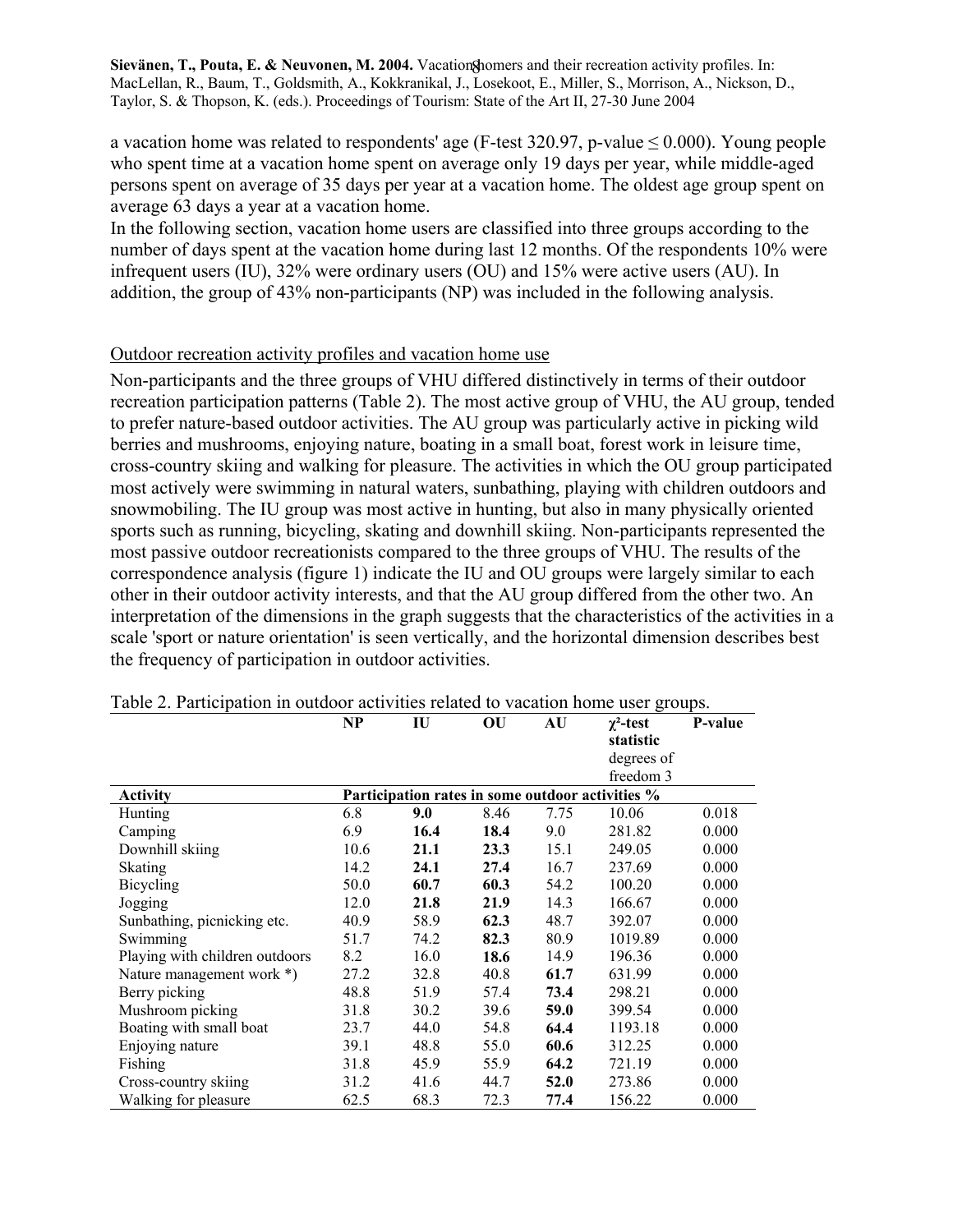a vacation home was related to respondents' age (F-test 320.97, p-value  $\leq 0.000$ ). Young people who spent time at a vacation home spent on average only 19 days per year, while middle-aged persons spent on average of 35 days per year at a vacation home. The oldest age group spent on average 63 days a year at a vacation home.

In the following section, vacation home users are classified into three groups according to the number of days spent at the vacation home during last 12 months. Of the respondents 10% were infrequent users (IU), 32% were ordinary users (OU) and 15% were active users (AU). In addition, the group of 43% non-participants (NP) was included in the following analysis.

### Outdoor recreation activity profiles and vacation home use

Non-participants and the three groups of VHU differed distinctively in terms of their outdoor recreation participation patterns (Table 2). The most active group of VHU, the AU group, tended to prefer nature-based outdoor activities. The AU group was particularly active in picking wild berries and mushrooms, enjoying nature, boating in a small boat, forest work in leisure time, cross-country skiing and walking for pleasure. The activities in which the OU group participated most actively were swimming in natural waters, sunbathing, playing with children outdoors and snowmobiling. The IU group was most active in hunting, but also in many physically oriented sports such as running, bicycling, skating and downhill skiing. Non-participants represented the most passive outdoor recreationists compared to the three groups of VHU. The results of the correspondence analysis (figure 1) indicate the IU and OU groups were largely similar to each other in their outdoor activity interests, and that the AU group differed from the other two. An interpretation of the dimensions in the graph suggests that the characteristics of the activities in a scale 'sport or nature orientation' is seen vertically, and the horizontal dimension describes best the frequency of participation in outdoor activities.

|                                | NP   | IU                                               | OU   | AU   | $\chi^2$ -test | P-value |
|--------------------------------|------|--------------------------------------------------|------|------|----------------|---------|
|                                |      |                                                  |      |      | statistic      |         |
|                                |      |                                                  |      |      | degrees of     |         |
|                                |      |                                                  |      |      | freedom 3      |         |
| <b>Activity</b>                |      | Participation rates in some outdoor activities % |      |      |                |         |
| Hunting                        | 6.8  | 9.0                                              | 8.46 | 7.75 | 10.06          | 0.018   |
| Camping                        | 6.9  | 16.4                                             | 18.4 | 9.0  | 281.82         | 0.000   |
| Downhill skiing                | 10.6 | 21.1                                             | 23.3 | 15.1 | 249.05         | 0.000   |
| Skating                        | 14.2 | 24.1                                             | 27.4 | 16.7 | 237.69         | 0.000   |
| Bicycling                      | 50.0 | 60.7                                             | 60.3 | 54.2 | 100.20         | 0.000   |
| Jogging                        | 12.0 | 21.8                                             | 21.9 | 14.3 | 166.67         | 0.000   |
| Sunbathing, picnicking etc.    | 40.9 | 58.9                                             | 62.3 | 48.7 | 392.07         | 0.000   |
| Swimming                       | 51.7 | 74.2                                             | 82.3 | 80.9 | 1019.89        | 0.000   |
| Playing with children outdoors | 8.2  | 16.0                                             | 18.6 | 14.9 | 196.36         | 0.000   |
| Nature management work *)      | 27.2 | 32.8                                             | 40.8 | 61.7 | 631.99         | 0.000   |
| Berry picking                  | 48.8 | 51.9                                             | 57.4 | 73.4 | 298.21         | 0.000   |
| Mushroom picking               | 31.8 | 30.2                                             | 39.6 | 59.0 | 399.54         | 0.000   |
| Boating with small boat        | 23.7 | 44.0                                             | 54.8 | 64.4 | 1193.18        | 0.000   |
| Enjoying nature                | 39.1 | 48.8                                             | 55.0 | 60.6 | 312.25         | 0.000   |
| Fishing                        | 31.8 | 45.9                                             | 55.9 | 64.2 | 721.19         | 0.000   |
| Cross-country skiing           | 31.2 | 41.6                                             | 44.7 | 52.0 | 273.86         | 0.000   |
| Walking for pleasure           | 62.5 | 68.3                                             | 72.3 | 77.4 | 156.22         | 0.000   |

Table 2. Participation in outdoor activities related to vacation home user groups.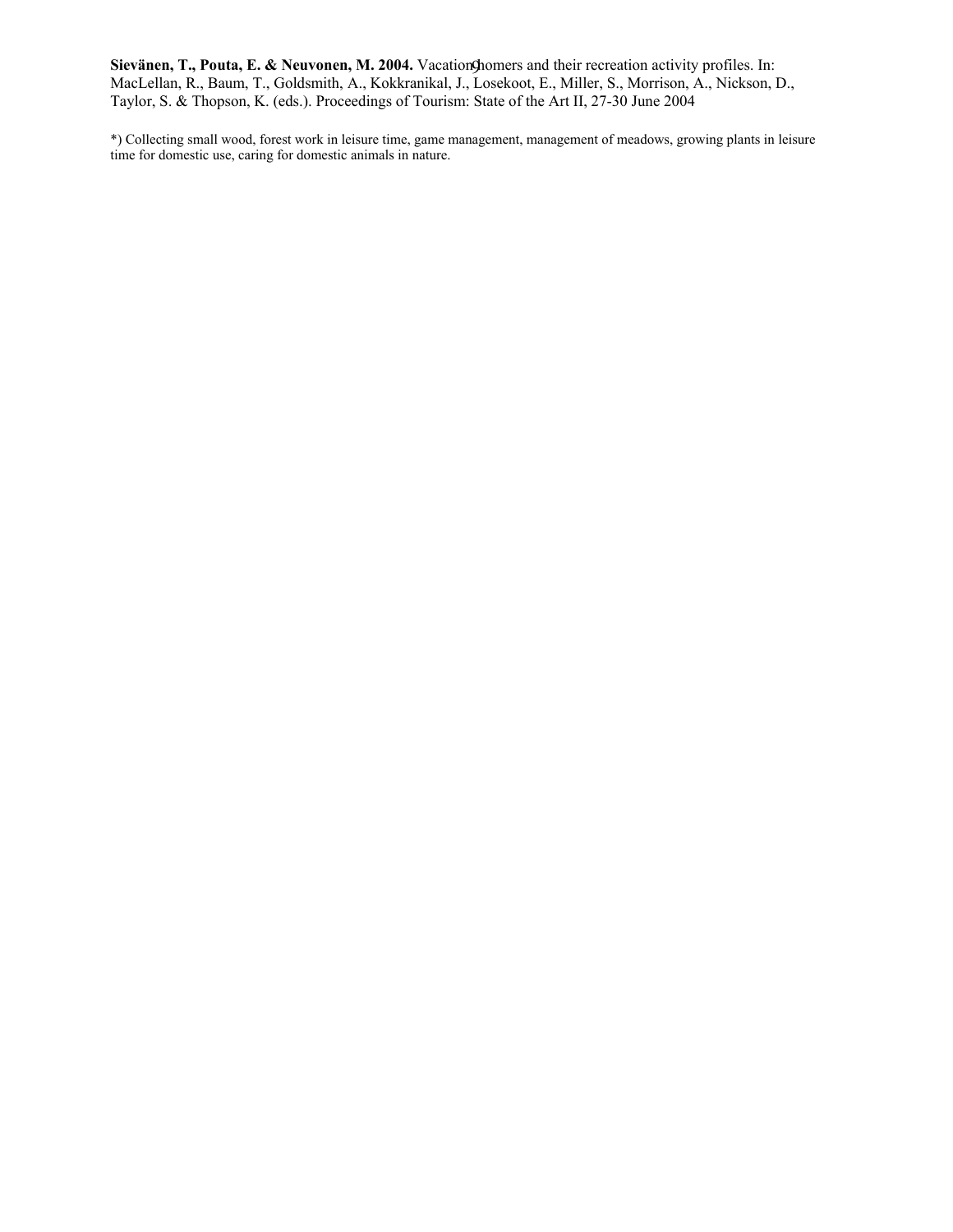\*) Collecting small wood, forest work in leisure time, game management, management of meadows, growing plants in leisure time for domestic use, caring for domestic animals in nature.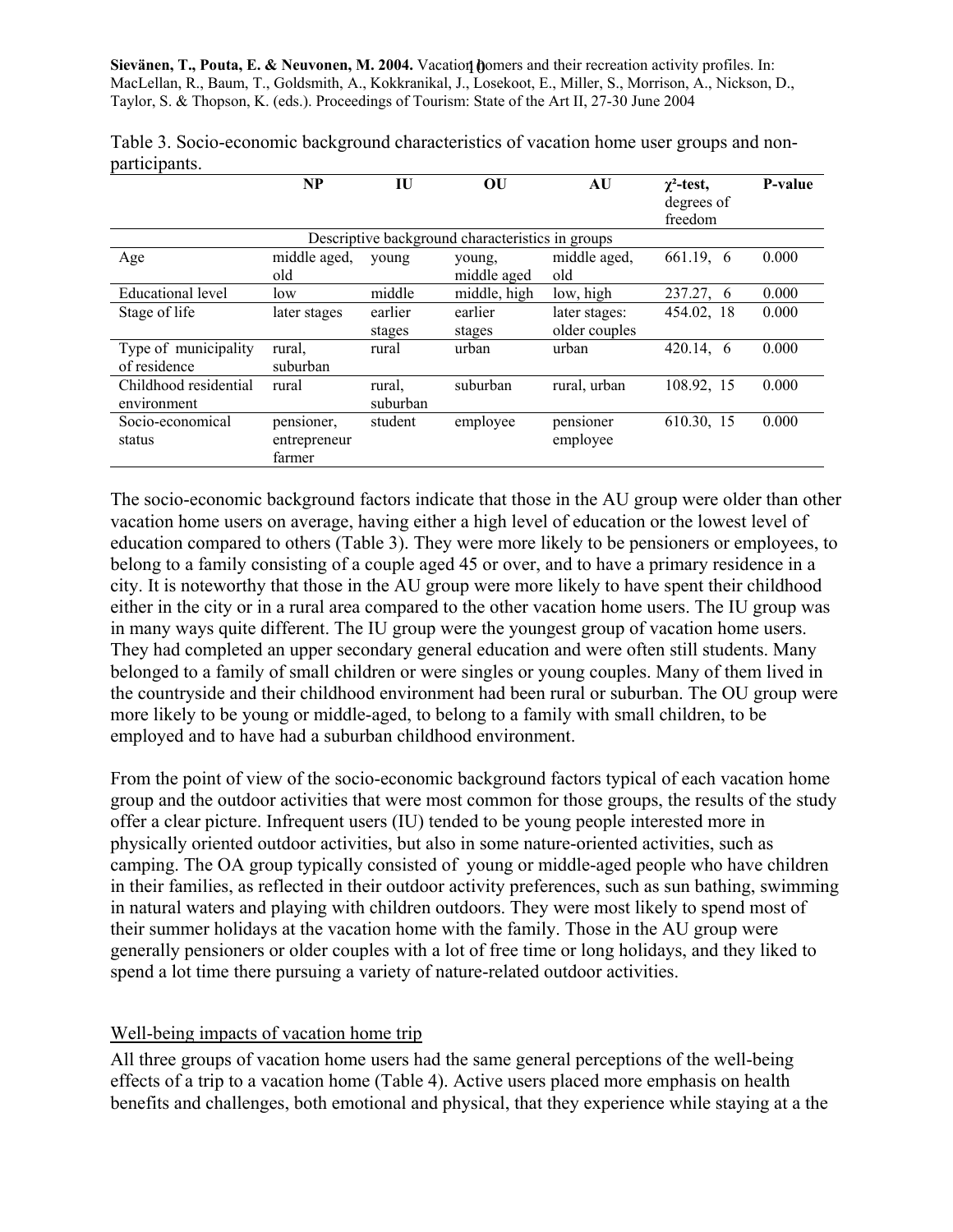|                                      | NP                                   | IU                 | OU                                               | AU                             | $\chi^2$ -test,<br>degrees of<br>freedom | P-value |
|--------------------------------------|--------------------------------------|--------------------|--------------------------------------------------|--------------------------------|------------------------------------------|---------|
|                                      |                                      |                    | Descriptive background characteristics in groups |                                |                                          |         |
| Age                                  | middle aged,<br>old                  | young              | young,<br>middle aged                            | middle aged,<br>old            | 661.19, 6                                | 0.000   |
| <b>Educational</b> level             | low                                  | middle             | middle, high                                     | low, high                      | 237.27, 6                                | 0.000   |
| Stage of life                        | later stages                         | earlier<br>stages  | earlier<br>stages                                | later stages:<br>older couples | 454.02, 18                               | 0.000   |
| Type of municipality<br>of residence | rural,<br>suburban                   | rural              | urban                                            | urban                          | 420.14, 6                                | 0.000   |
| Childhood residential<br>environment | rural                                | rural.<br>suburban | suburban                                         | rural, urban                   | 108.92, 15                               | 0.000   |
| Socio-economical<br>status           | pensioner,<br>entrepreneur<br>farmer | student            | employee                                         | pensioner<br>employee          | 610.30, 15                               | 0.000   |

Table 3. Socio-economic background characteristics of vacation home user groups and nonparticipants.

The socio-economic background factors indicate that those in the AU group were older than other vacation home users on average, having either a high level of education or the lowest level of education compared to others (Table 3). They were more likely to be pensioners or employees, to belong to a family consisting of a couple aged 45 or over, and to have a primary residence in a city. It is noteworthy that those in the AU group were more likely to have spent their childhood either in the city or in a rural area compared to the other vacation home users. The IU group was in many ways quite different. The IU group were the youngest group of vacation home users. They had completed an upper secondary general education and were often still students. Many belonged to a family of small children or were singles or young couples. Many of them lived in the countryside and their childhood environment had been rural or suburban. The OU group were more likely to be young or middle-aged, to belong to a family with small children, to be employed and to have had a suburban childhood environment.

From the point of view of the socio-economic background factors typical of each vacation home group and the outdoor activities that were most common for those groups, the results of the study offer a clear picture. Infrequent users (IU) tended to be young people interested more in physically oriented outdoor activities, but also in some nature-oriented activities, such as camping. The OA group typically consisted of young or middle-aged people who have children in their families, as reflected in their outdoor activity preferences, such as sun bathing, swimming in natural waters and playing with children outdoors. They were most likely to spend most of their summer holidays at the vacation home with the family. Those in the AU group were generally pensioners or older couples with a lot of free time or long holidays, and they liked to spend a lot time there pursuing a variety of nature-related outdoor activities.

# Well-being impacts of vacation home trip

All three groups of vacation home users had the same general perceptions of the well-being effects of a trip to a vacation home (Table 4). Active users placed more emphasis on health benefits and challenges, both emotional and physical, that they experience while staying at a the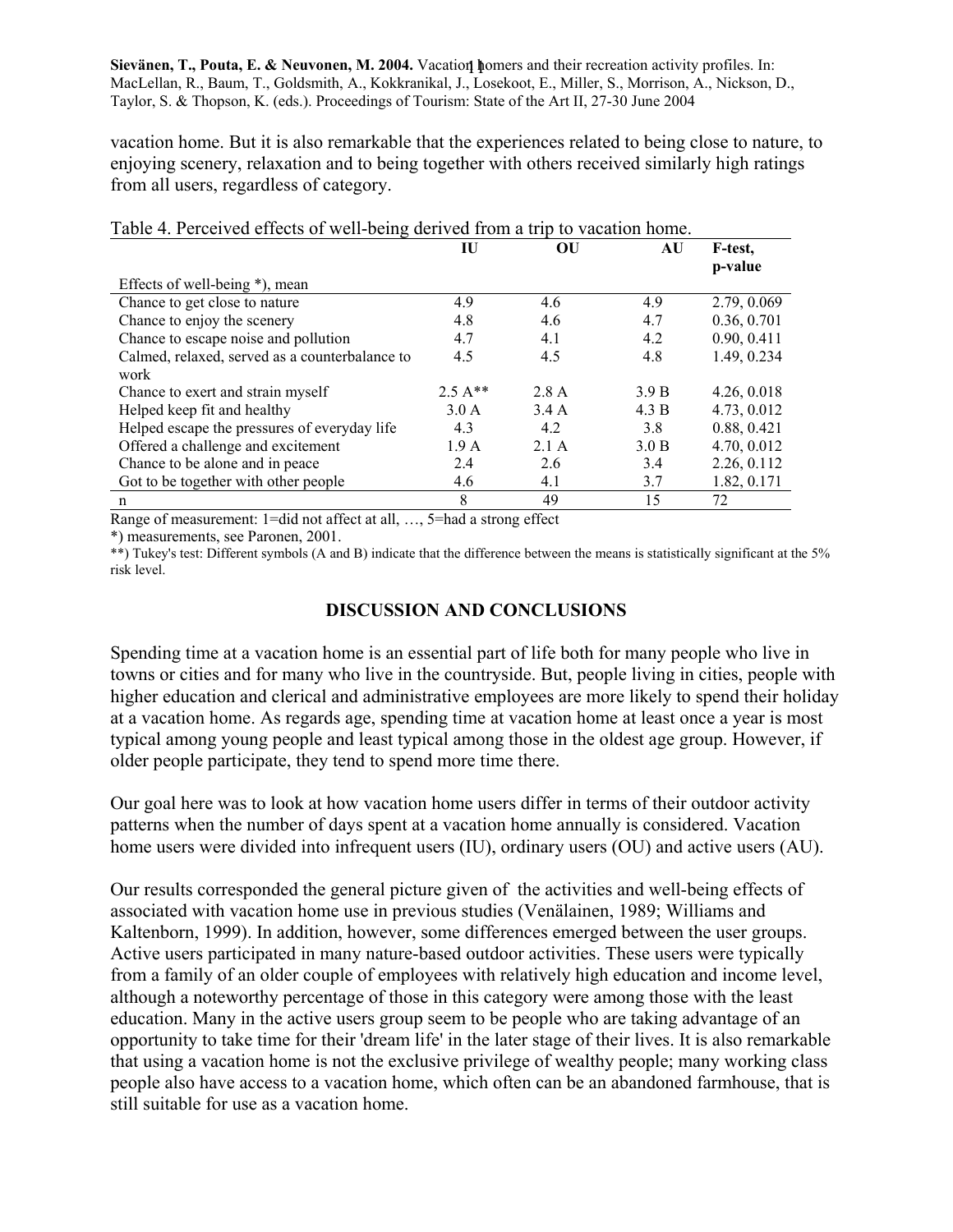vacation home. But it is also remarkable that the experiences related to being close to nature, to enjoying scenery, relaxation and to being together with others received similarly high ratings from all users, regardless of category.

|                                                | IU               | OU    | AU    | F-test,<br>p-value |
|------------------------------------------------|------------------|-------|-------|--------------------|
| Effects of well-being *), mean                 |                  |       |       |                    |
| Chance to get close to nature                  | 4.9              | 4.6   | 4.9   | 2.79, 0.069        |
| Chance to enjoy the scenery                    | 4.8              | 4.6   | 4.7   | 0.36, 0.701        |
| Chance to escape noise and pollution           | 4.7              | 4.1   | 4.2   | 0.90, 0.411        |
| Calmed, relaxed, served as a counterbalance to | 4.5              | 4.5   | 4.8   | 1.49, 0.234        |
| work                                           |                  |       |       |                    |
| Chance to exert and strain myself              | $2.5A**$         | 2.8 A | 3.9 B | 4.26, 0.018        |
| Helped keep fit and healthy                    | 3.0 A            | 3.4 A | 4.3 B | 4.73, 0.012        |
| Helped escape the pressures of everyday life   | 4.3              | 4.2   | 3.8   | 0.88, 0.421        |
| Offered a challenge and excitement             | 1.9 <sub>A</sub> | 2.1A  | 3.0 B | 4.70, 0.012        |
| Chance to be alone and in peace                | 2.4              | 2.6   | 3.4   | 2.26, 0.112        |
| Got to be together with other people           | 4.6              | 4.1   | 3.7   | 1.82, 0.171        |
| n                                              | 8                | 49    | 15    | 72                 |

|  |  |  | Table 4. Perceived effects of well-being derived from a trip to vacation home. |
|--|--|--|--------------------------------------------------------------------------------|
|  |  |  |                                                                                |

Range of measurement: 1=did not affect at all, …, 5=had a strong effect

\*) measurements, see Paronen, 2001.

\*\*) Tukey's test: Different symbols (A and B) indicate that the difference between the means is statistically significant at the 5% risk level.

# **DISCUSSION AND CONCLUSIONS**

Spending time at a vacation home is an essential part of life both for many people who live in towns or cities and for many who live in the countryside. But, people living in cities, people with higher education and clerical and administrative employees are more likely to spend their holiday at a vacation home. As regards age, spending time at vacation home at least once a year is most typical among young people and least typical among those in the oldest age group. However, if older people participate, they tend to spend more time there.

Our goal here was to look at how vacation home users differ in terms of their outdoor activity patterns when the number of days spent at a vacation home annually is considered. Vacation home users were divided into infrequent users (IU), ordinary users (OU) and active users (AU).

Our results corresponded the general picture given of the activities and well-being effects of associated with vacation home use in previous studies (Venälainen, 1989; Williams and Kaltenborn, 1999). In addition, however, some differences emerged between the user groups. Active users participated in many nature-based outdoor activities. These users were typically from a family of an older couple of employees with relatively high education and income level, although a noteworthy percentage of those in this category were among those with the least education. Many in the active users group seem to be people who are taking advantage of an opportunity to take time for their 'dream life' in the later stage of their lives. It is also remarkable that using a vacation home is not the exclusive privilege of wealthy people; many working class people also have access to a vacation home, which often can be an abandoned farmhouse, that is still suitable for use as a vacation home.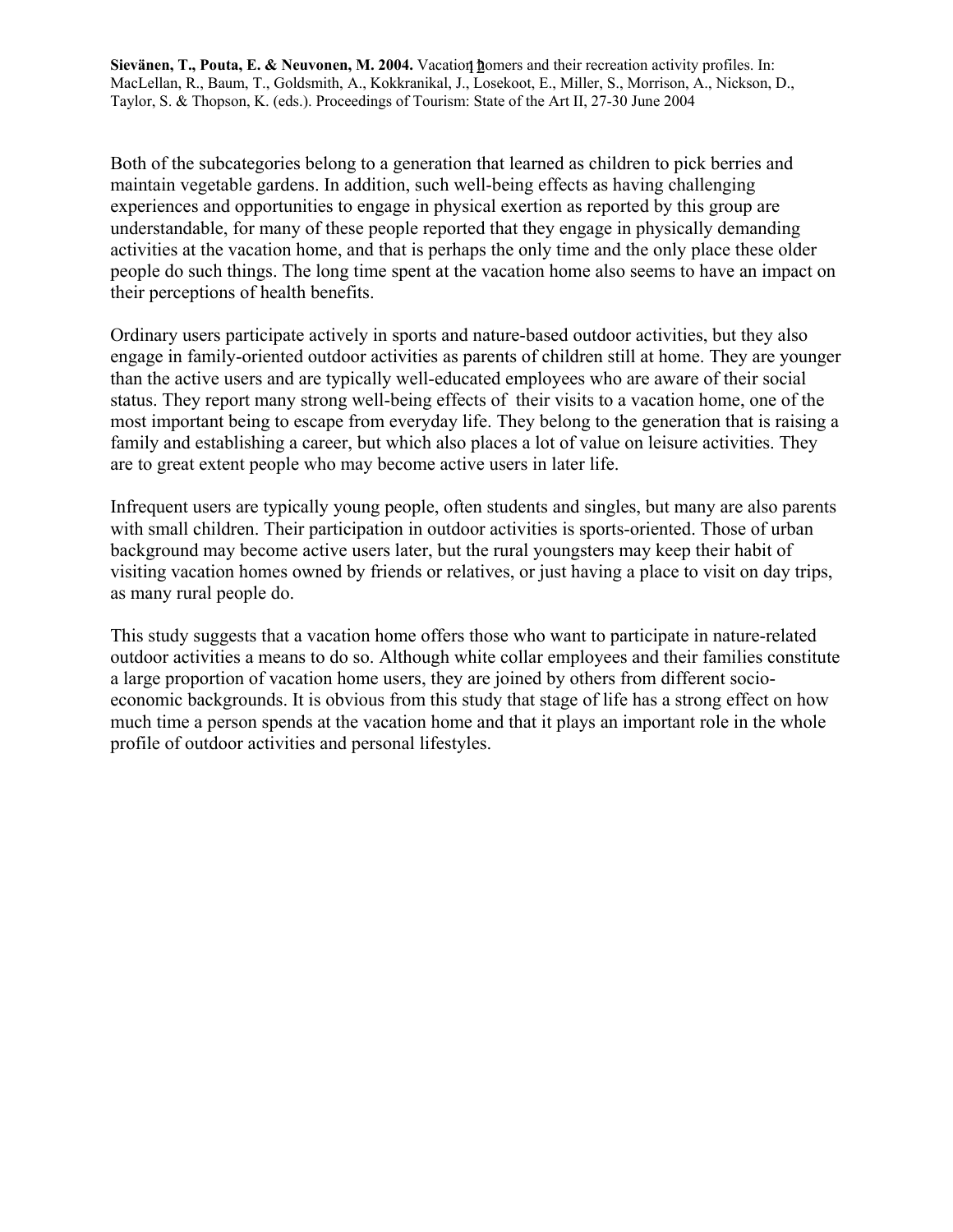Both of the subcategories belong to a generation that learned as children to pick berries and maintain vegetable gardens. In addition, such well-being effects as having challenging experiences and opportunities to engage in physical exertion as reported by this group are understandable, for many of these people reported that they engage in physically demanding activities at the vacation home, and that is perhaps the only time and the only place these older people do such things. The long time spent at the vacation home also seems to have an impact on their perceptions of health benefits.

Ordinary users participate actively in sports and nature-based outdoor activities, but they also engage in family-oriented outdoor activities as parents of children still at home. They are younger than the active users and are typically well-educated employees who are aware of their social status. They report many strong well-being effects of their visits to a vacation home, one of the most important being to escape from everyday life. They belong to the generation that is raising a family and establishing a career, but which also places a lot of value on leisure activities. They are to great extent people who may become active users in later life.

Infrequent users are typically young people, often students and singles, but many are also parents with small children. Their participation in outdoor activities is sports-oriented. Those of urban background may become active users later, but the rural youngsters may keep their habit of visiting vacation homes owned by friends or relatives, or just having a place to visit on day trips, as many rural people do.

This study suggests that a vacation home offers those who want to participate in nature-related outdoor activities a means to do so. Although white collar employees and their families constitute a large proportion of vacation home users, they are joined by others from different socioeconomic backgrounds. It is obvious from this study that stage of life has a strong effect on how much time a person spends at the vacation home and that it plays an important role in the whole profile of outdoor activities and personal lifestyles.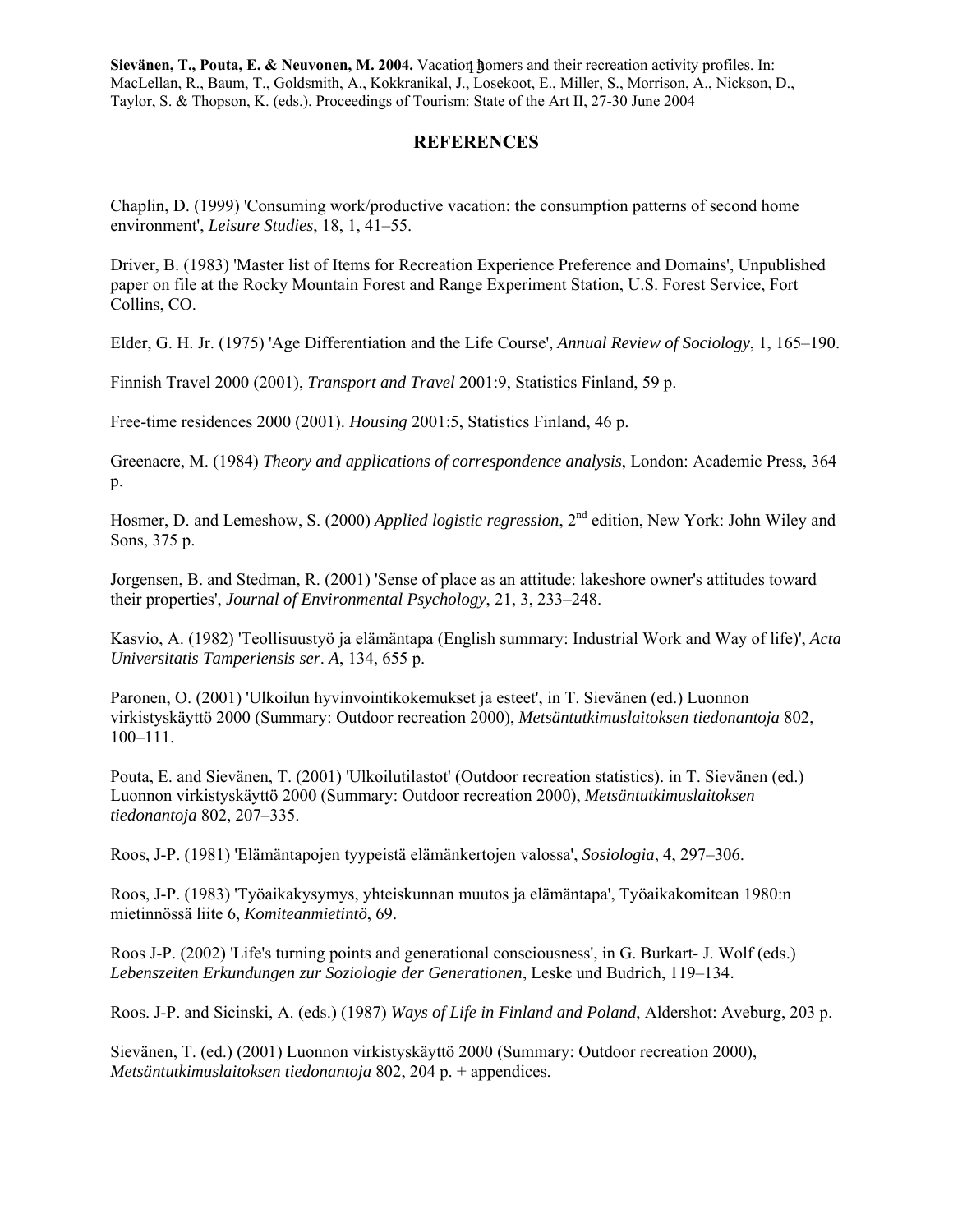### **REFERENCES**

Chaplin, D. (1999) 'Consuming work/productive vacation: the consumption patterns of second home environment', *Leisure Studies*, 18, 1, 41–55.

Driver, B. (1983) 'Master list of Items for Recreation Experience Preference and Domains', Unpublished paper on file at the Rocky Mountain Forest and Range Experiment Station, U.S. Forest Service, Fort Collins, CO.

Elder, G. H. Jr. (1975) 'Age Differentiation and the Life Course', *Annual Review of Sociology*, 1, 165–190.

Finnish Travel 2000 (2001), *Transport and Travel* 2001:9, Statistics Finland, 59 p.

Free-time residences 2000 (2001). *Housing* 2001:5, Statistics Finland, 46 p.

Greenacre, M. (1984) *Theory and applications of correspondence analysis*, London: Academic Press, 364 p.

Hosmer, D. and Lemeshow, S. (2000) *Applied logistic regression*, 2<sup>nd</sup> edition, New York: John Wiley and Sons, 375 p.

Jorgensen, B. and Stedman, R. (2001) 'Sense of place as an attitude: lakeshore owner's attitudes toward their properties', *Journal of Environmental Psychology*, 21, 3, 233–248.

Kasvio, A. (1982) 'Teollisuustyö ja elämäntapa (English summary: Industrial Work and Way of life)', *Acta Universitatis Tamperiensis ser*. *A*, 134, 655 p.

Paronen, O. (2001) 'Ulkoilun hyvinvointikokemukset ja esteet', in T. Sievänen (ed.) Luonnon virkistyskäyttö 2000 (Summary: Outdoor recreation 2000), *Metsäntutkimuslaitoksen tiedonantoja* 802, 100–111.

Pouta, E. and Sievänen, T. (2001) 'Ulkoilutilastot' (Outdoor recreation statistics). in T. Sievänen (ed.) Luonnon virkistyskäyttö 2000 (Summary: Outdoor recreation 2000), *Metsäntutkimuslaitoksen tiedonantoja* 802, 207–335.

Roos, J-P. (1981) 'Elämäntapojen tyypeistä elämänkertojen valossa', *Sosiologia*, 4, 297–306.

Roos, J-P. (1983) 'Työaikakysymys, yhteiskunnan muutos ja elämäntapa', Työaikakomitean 1980:n mietinnössä liite 6, *Komiteanmietintö*, 69.

Roos J-P. (2002) 'Life's turning points and generational consciousness', in G. Burkart- J. Wolf (eds.) *Lebenszeiten Erkundungen zur Soziologie der Generationen*, Leske und Budrich, 119–134.

Roos. J-P. and Sicinski, A. (eds.) (1987) *Ways of Life in Finland and Poland*, Aldershot: Aveburg, 203 p.

Sievänen, T. (ed.) (2001) Luonnon virkistyskäyttö 2000 (Summary: Outdoor recreation 2000), *Metsäntutkimuslaitoksen tiedonantoja* 802, 204 p. + appendices.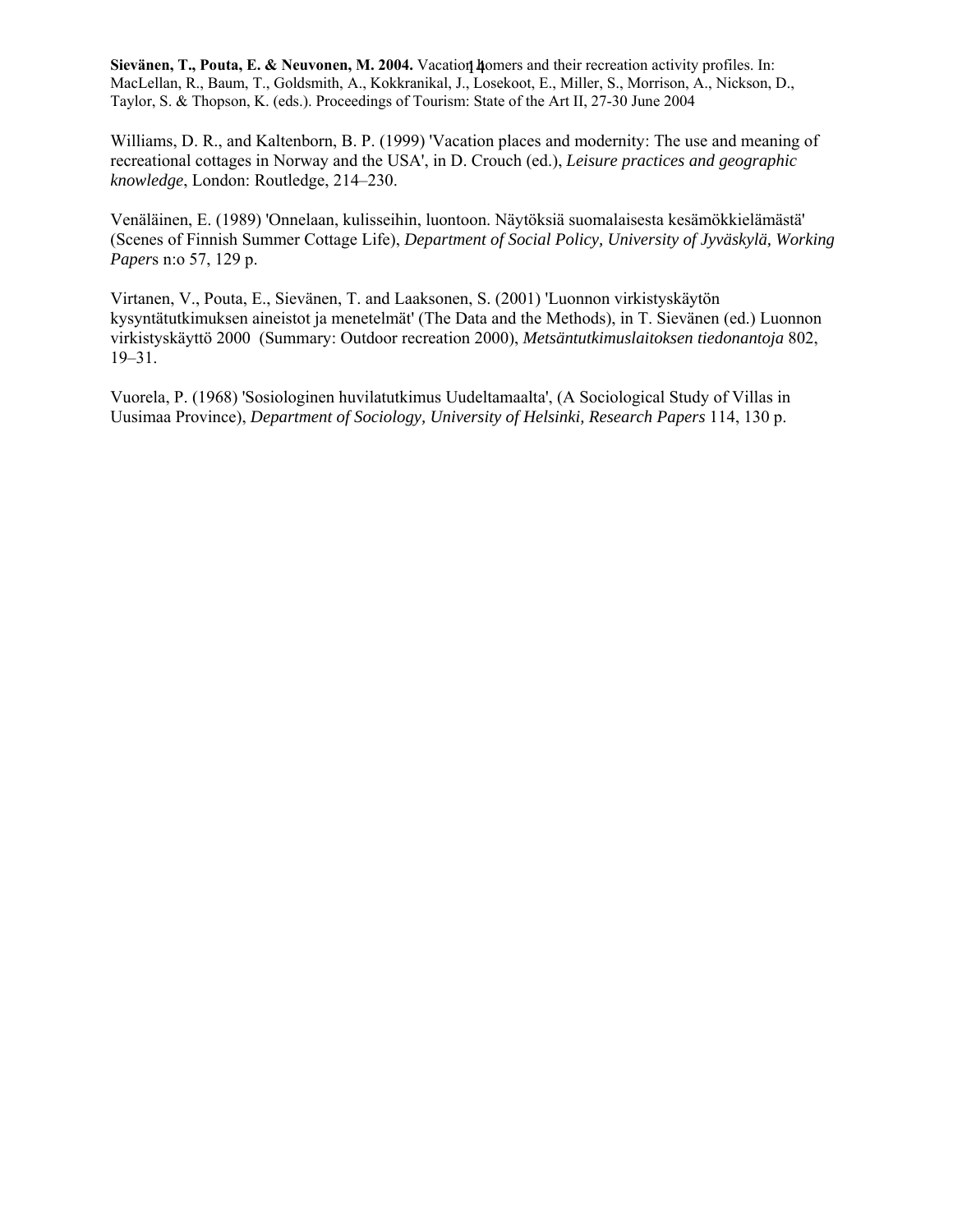Williams, D. R., and Kaltenborn, B. P. (1999) 'Vacation places and modernity: The use and meaning of recreational cottages in Norway and the USA', in D. Crouch (ed.), *Leisure practices and geographic knowledge*, London: Routledge, 214–230.

Venäläinen, E. (1989) 'Onnelaan, kulisseihin, luontoon. Näytöksiä suomalaisesta kesämökkielämästä' (Scenes of Finnish Summer Cottage Life), *Department of Social Policy, University of Jyväskylä, Working Paper*s n:o 57, 129 p.

Virtanen, V., Pouta, E., Sievänen, T. and Laaksonen, S. (2001) 'Luonnon virkistyskäytön kysyntätutkimuksen aineistot ja menetelmät' (The Data and the Methods), in T. Sievänen (ed.) Luonnon virkistyskäyttö 2000 (Summary: Outdoor recreation 2000), *Metsäntutkimuslaitoksen tiedonantoja* 802, 19–31.

Vuorela, P. (1968) 'Sosiologinen huvilatutkimus Uudeltamaalta', (A Sociological Study of Villas in Uusimaa Province), *Department of Sociology, University of Helsinki, Research Papers* 114, 130 p.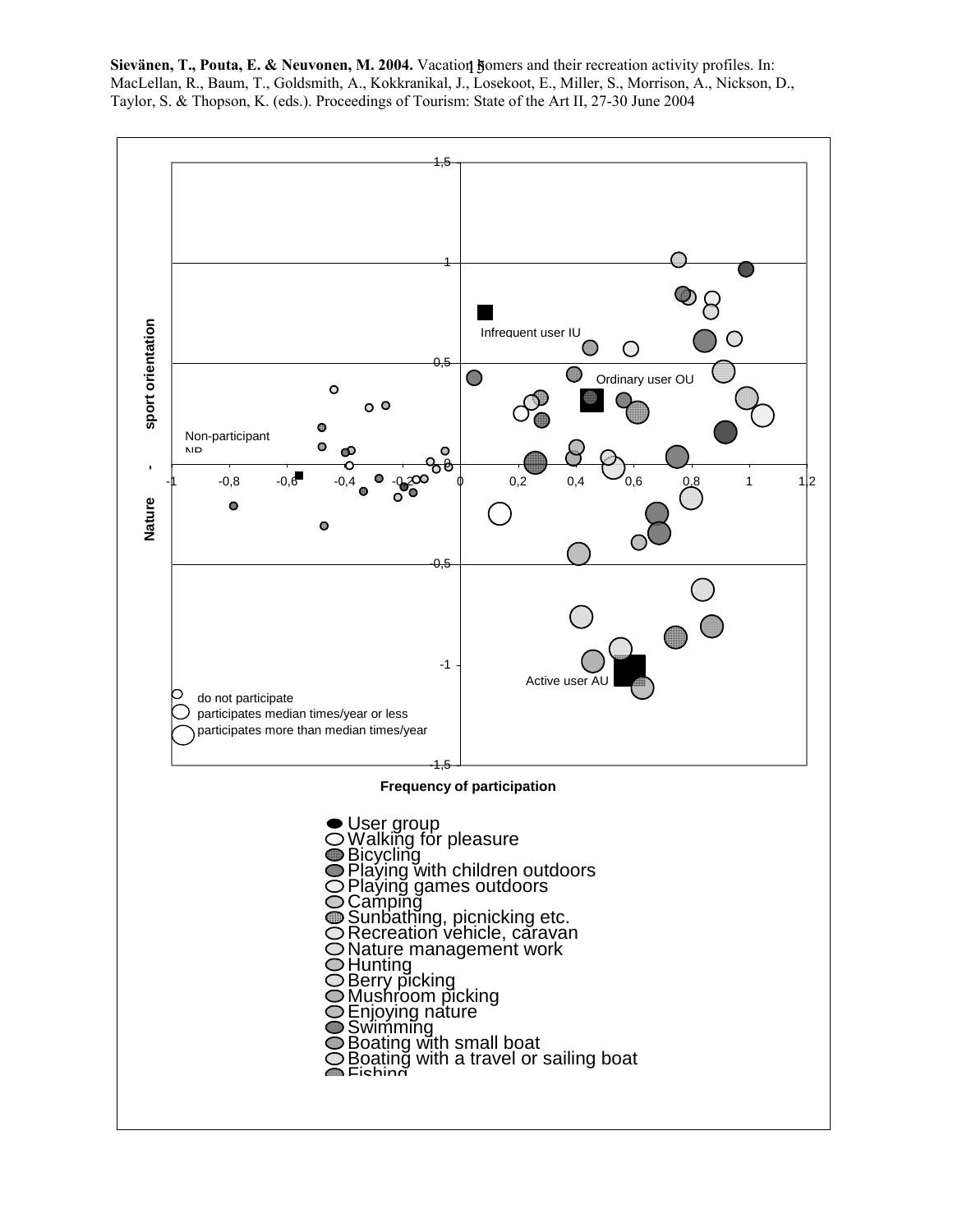